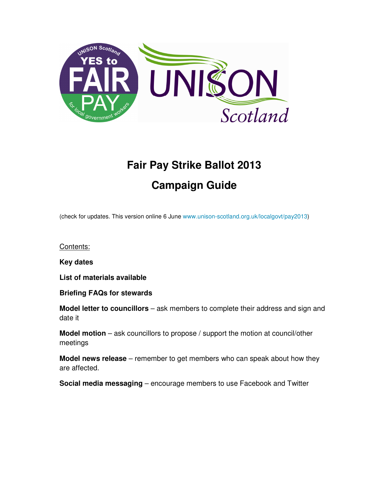

# **Fair Pay Strike Ballot 2013 Campaign Guide**

(check for updates. This version online 6 June www.unison-scotland.org.uk/localgovt/pay2013)

Contents:

**Key dates** 

**List of materials available** 

**Briefing FAQs for stewards** 

**Model letter to councillors** – ask members to complete their address and sign and date it

**Model motion** – ask councillors to propose / support the motion at council/other meetings

**Model news release** – remember to get members who can speak about how they are affected.

**Social media messaging** – encourage members to use Facebook and Twitter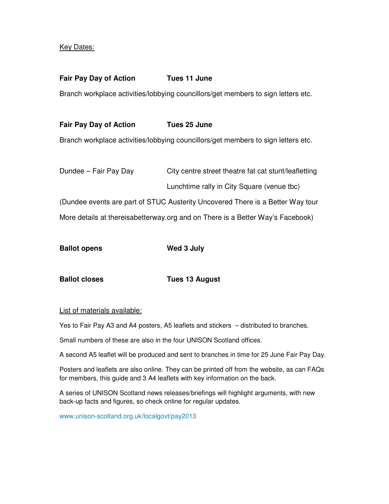#### Key Dates:

#### **Fair Pay Day of Action Tues 11 June**

Branch workplace activities/lobbying councillors/get members to sign letters etc.

#### **Fair Pay Day of Action Tues 25 June**

Branch workplace activities/lobbying councillors/get members to sign letters etc.

Dundee – Fair Pay Day City centre street theatre fat cat stunt/leafletting Lunchtime rally in City Square (venue tbc)

(Dundee events are part of STUC Austerity Uncovered There is a Better Way tour More details at thereisabetterway.org and on There is a Better Way's Facebook)

| <b>Ballot opens</b> | Wed 3 July |
|---------------------|------------|
|                     |            |

**Ballot closes Tues 13 August** 

#### List of materials available:

Yes to Fair Pay A3 and A4 posters, A5 leaflets and stickers – distributed to branches.

Small numbers of these are also in the four UNISON Scotland offices.

A second A5 leaflet will be produced and sent to branches in time for 25 June Fair Pay Day.

Posters and leaflets are also online. They can be printed off from the website, as can FAQs for members, this guide and 3 A4 leaflets with key information on the back.

A series of UNISON Scotland news releases/briefings will highlight arguments, with new back-up facts and figures, so check online for regular updates.

www.unison-scotland.org.uk/localgovt/pay2013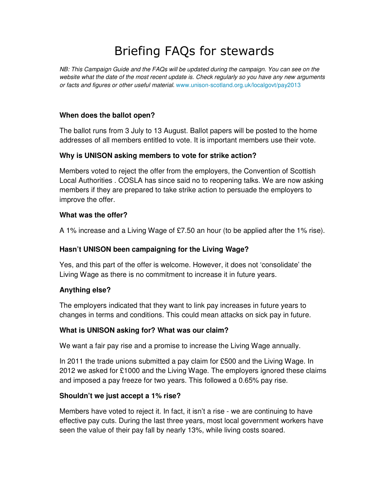## Briefing FAQs for stewards

NB: This Campaign Guide and the FAQs will be updated during the campaign. You can see on the website what the date of the most recent update is. Check regularly so you have any new arguments or facts and figures or other useful material. www.unison-scotland.org.uk/localgovt/pay2013

#### **When does the ballot open?**

The ballot runs from 3 July to 13 August. Ballot papers will be posted to the home addresses of all members entitled to vote. It is important members use their vote.

#### **Why is UNISON asking members to vote for strike action?**

Members voted to reject the offer from the employers, the Convention of Scottish Local Authorities . COSLA has since said no to reopening talks. We are now asking members if they are prepared to take strike action to persuade the employers to improve the offer.

#### **What was the offer?**

A 1% increase and a Living Wage of £7.50 an hour (to be applied after the 1% rise).

## **Hasn't UNISON been campaigning for the Living Wage?**

Yes, and this part of the offer is welcome. However, it does not 'consolidate' the Living Wage as there is no commitment to increase it in future years.

## **Anything else?**

The employers indicated that they want to link pay increases in future years to changes in terms and conditions. This could mean attacks on sick pay in future.

#### **What is UNISON asking for? What was our claim?**

We want a fair pay rise and a promise to increase the Living Wage annually.

In 2011 the trade unions submitted a pay claim for £500 and the Living Wage. In 2012 we asked for £1000 and the Living Wage. The employers ignored these claims and imposed a pay freeze for two years. This followed a 0.65% pay rise.

## **Shouldn't we just accept a 1% rise?**

Members have voted to reject it. In fact, it isn't a rise - we are continuing to have effective pay cuts. During the last three years, most local government workers have seen the value of their pay fall by nearly 13%, while living costs soared.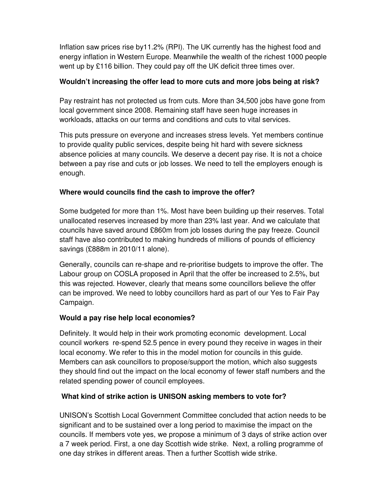Inflation saw prices rise by11.2% (RPI). The UK currently has the highest food and energy inflation in Western Europe. Meanwhile the wealth of the richest 1000 people went up by £116 billion. They could pay off the UK deficit three times over.

## **Wouldn't increasing the offer lead to more cuts and more jobs being at risk?**

Pay restraint has not protected us from cuts. More than 34,500 jobs have gone from local government since 2008. Remaining staff have seen huge increases in workloads, attacks on our terms and conditions and cuts to vital services.

This puts pressure on everyone and increases stress levels. Yet members continue to provide quality public services, despite being hit hard with severe sickness absence policies at many councils. We deserve a decent pay rise. It is not a choice between a pay rise and cuts or job losses. We need to tell the employers enough is enough.

## **Where would councils find the cash to improve the offer?**

Some budgeted for more than 1%. Most have been building up their reserves. Total unallocated reserves increased by more than 23% last year. And we calculate that councils have saved around £860m from job losses during the pay freeze. Council staff have also contributed to making hundreds of millions of pounds of efficiency savings (£888m in 2010/11 alone).

Generally, councils can re-shape and re-prioritise budgets to improve the offer. The Labour group on COSLA proposed in April that the offer be increased to 2.5%, but this was rejected. However, clearly that means some councillors believe the offer can be improved. We need to lobby councillors hard as part of our Yes to Fair Pay Campaign.

## **Would a pay rise help local economies?**

Definitely. It would help in their work promoting economic development. Local council workers re-spend 52.5 pence in every pound they receive in wages in their local economy. We refer to this in the model motion for councils in this guide. Members can ask councillors to propose/support the motion, which also suggests they should find out the impact on the local economy of fewer staff numbers and the related spending power of council employees.

## **What kind of strike action is UNISON asking members to vote for?**

UNISON's Scottish Local Government Committee concluded that action needs to be significant and to be sustained over a long period to maximise the impact on the councils. If members vote yes, we propose a minimum of 3 days of strike action over a 7 week period. First, a one day Scottish wide strike. Next, a rolling programme of one day strikes in different areas. Then a further Scottish wide strike.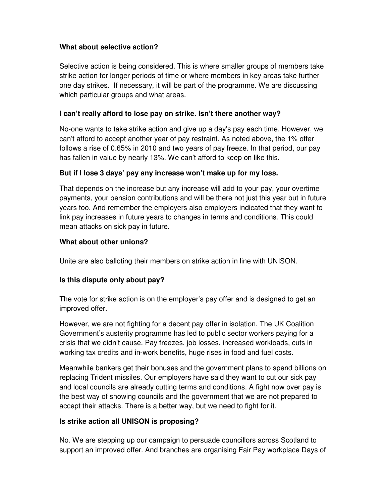## **What about selective action?**

Selective action is being considered. This is where smaller groups of members take strike action for longer periods of time or where members in key areas take further one day strikes. If necessary, it will be part of the programme. We are discussing which particular groups and what areas.

## **I can't really afford to lose pay on strike. Isn't there another way?**

No-one wants to take strike action and give up a day's pay each time. However, we can't afford to accept another year of pay restraint. As noted above, the 1% offer follows a rise of 0.65% in 2010 and two years of pay freeze. In that period, our pay has fallen in value by nearly 13%. We can't afford to keep on like this.

## **But if I lose 3 days' pay any increase won't make up for my loss.**

That depends on the increase but any increase will add to your pay, your overtime payments, your pension contributions and will be there not just this year but in future years too. And remember the employers also employers indicated that they want to link pay increases in future years to changes in terms and conditions. This could mean attacks on sick pay in future.

## **What about other unions?**

Unite are also balloting their members on strike action in line with UNISON.

## **Is this dispute only about pay?**

The vote for strike action is on the employer's pay offer and is designed to get an improved offer.

However, we are not fighting for a decent pay offer in isolation. The UK Coalition Government's austerity programme has led to public sector workers paying for a crisis that we didn't cause. Pay freezes, job losses, increased workloads, cuts in working tax credits and in-work benefits, huge rises in food and fuel costs.

Meanwhile bankers get their bonuses and the government plans to spend billions on replacing Trident missiles. Our employers have said they want to cut our sick pay and local councils are already cutting terms and conditions. A fight now over pay is the best way of showing councils and the government that we are not prepared to accept their attacks. There is a better way, but we need to fight for it.

## **Is strike action all UNISON is proposing?**

No. We are stepping up our campaign to persuade councillors across Scotland to support an improved offer. And branches are organising Fair Pay workplace Days of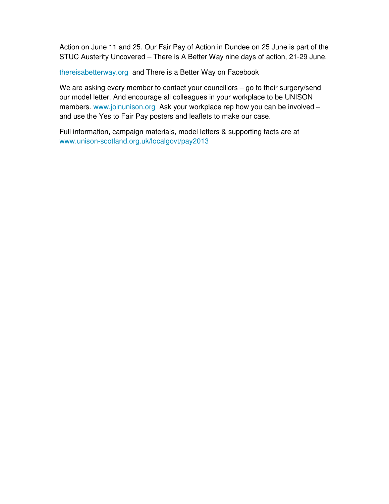Action on June 11 and 25. Our Fair Pay of Action in Dundee on 25 June is part of the STUC Austerity Uncovered – There is A Better Way nine days of action, 21-29 June.

thereisabetterway.org and There is a Better Way on Facebook

We are asking every member to contact your councillors – go to their surgery/send our model letter. And encourage all colleagues in your workplace to be UNISON members. www.joinunison.org Ask your workplace rep how you can be involved and use the Yes to Fair Pay posters and leaflets to make our case.

Full information, campaign materials, model letters & supporting facts are at www.unison-scotland.org.uk/localgovt/pay2013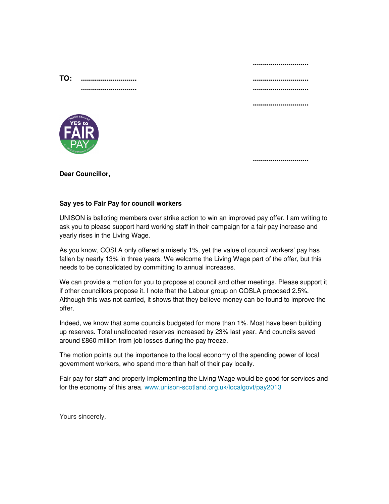|     |                                              | ----------------------------- |
|-----|----------------------------------------------|-------------------------------|
| TO: |                                              | ,,,,,,,,,,,,,,,,,,,,,,,,,,,,  |
|     |                                              | ,,,,,,,,,,,,,,,,,,,,,,,,,,,,  |
|     |                                              |                               |
|     | <b>THES ROW WAS A SCOUNTY</b><br><b>ELAY</b> |                               |
|     |                                              |                               |

**Dear Councillor,** 

#### **Say yes to Fair Pay for council workers**

UNISON is balloting members over strike action to win an improved pay offer. I am writing to ask you to please support hard working staff in their campaign for a fair pay increase and yearly rises in the Living Wage.

As you know, COSLA only offered a miserly 1%, yet the value of council workers' pay has fallen by nearly 13% in three years. We welcome the Living Wage part of the offer, but this needs to be consolidated by committing to annual increases.

We can provide a motion for you to propose at council and other meetings. Please support it if other councillors propose it. I note that the Labour group on COSLA proposed 2.5%. Although this was not carried, it shows that they believe money can be found to improve the offer.

Indeed, we know that some councils budgeted for more than 1%. Most have been building up reserves. Total unallocated reserves increased by 23% last year. And councils saved around £860 million from job losses during the pay freeze.

The motion points out the importance to the local economy of the spending power of local government workers, who spend more than half of their pay locally.

Fair pay for staff and properly implementing the Living Wage would be good for services and for the economy of this area. www.unison-scotland.org.uk/localgovt/pay2013

Yours sincerely,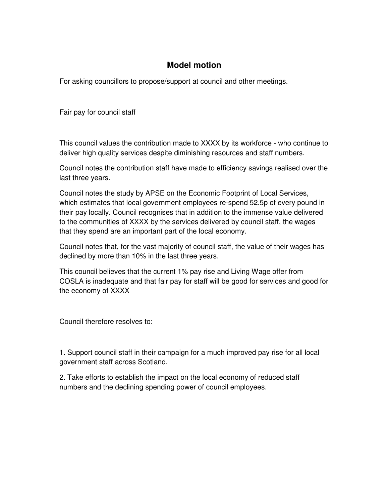## **Model motion**

For asking councillors to propose/support at council and other meetings.

Fair pay for council staff

This council values the contribution made to XXXX by its workforce - who continue to deliver high quality services despite diminishing resources and staff numbers.

Council notes the contribution staff have made to efficiency savings realised over the last three years.

Council notes the study by APSE on the Economic Footprint of Local Services, which estimates that local government employees re-spend 52.5p of every pound in their pay locally. Council recognises that in addition to the immense value delivered to the communities of XXXX by the services delivered by council staff, the wages that they spend are an important part of the local economy.

Council notes that, for the vast majority of council staff, the value of their wages has declined by more than 10% in the last three years.

This council believes that the current 1% pay rise and Living Wage offer from COSLA is inadequate and that fair pay for staff will be good for services and good for the economy of XXXX

Council therefore resolves to:

1. Support council staff in their campaign for a much improved pay rise for all local government staff across Scotland.

2. Take efforts to establish the impact on the local economy of reduced staff numbers and the declining spending power of council employees.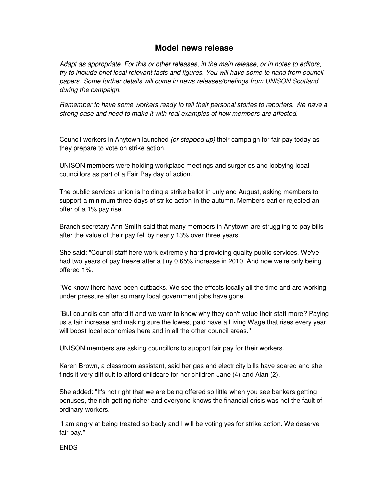## **Model news release**

Adapt as appropriate. For this or other releases, in the main release, or in notes to editors, try to include brief local relevant facts and figures. You will have some to hand from council papers. Some further details will come in news releases/briefings from UNISON Scotland during the campaign.

Remember to have some workers ready to tell their personal stories to reporters. We have a strong case and need to make it with real examples of how members are affected.

Council workers in Anytown launched (or stepped up) their campaign for fair pay today as they prepare to vote on strike action.

UNISON members were holding workplace meetings and surgeries and lobbying local councillors as part of a Fair Pay day of action.

The public services union is holding a strike ballot in July and August, asking members to support a minimum three days of strike action in the autumn. Members earlier rejected an offer of a 1% pay rise.

Branch secretary Ann Smith said that many members in Anytown are struggling to pay bills after the value of their pay fell by nearly 13% over three years.

She said: "Council staff here work extremely hard providing quality public services. We've had two years of pay freeze after a tiny 0.65% increase in 2010. And now we're only being offered 1%.

"We know there have been cutbacks. We see the effects locally all the time and are working under pressure after so many local government jobs have gone.

"But councils can afford it and we want to know why they don't value their staff more? Paying us a fair increase and making sure the lowest paid have a Living Wage that rises every year, will boost local economies here and in all the other council areas."

UNISON members are asking councillors to support fair pay for their workers.

Karen Brown, a classroom assistant, said her gas and electricity bills have soared and she finds it very difficult to afford childcare for her children Jane (4) and Alan (2).

She added: "It's not right that we are being offered so little when you see bankers getting bonuses, the rich getting richer and everyone knows the financial crisis was not the fault of ordinary workers.

"I am angry at being treated so badly and I will be voting yes for strike action. We deserve fair pay."

#### **ENDS**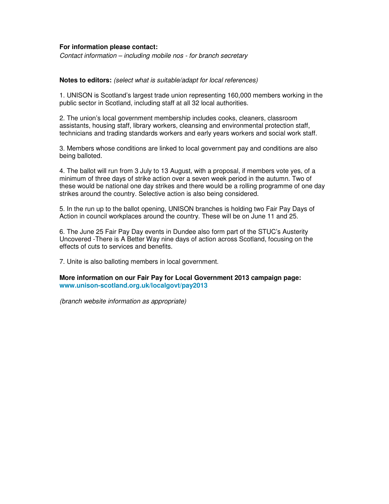#### **For information please contact:**

Contact information – including mobile nos - for branch secretary

#### **Notes to editors:** (select what is suitable/adapt for local references)

1. UNISON is Scotland's largest trade union representing 160,000 members working in the public sector in Scotland, including staff at all 32 local authorities.

2. The union's local government membership includes cooks, cleaners, classroom assistants, housing staff, library workers, cleansing and environmental protection staff, technicians and trading standards workers and early years workers and social work staff.

3. Members whose conditions are linked to local government pay and conditions are also being balloted.

4. The ballot will run from 3 July to 13 August, with a proposal, if members vote yes, of a minimum of three days of strike action over a seven week period in the autumn. Two of these would be national one day strikes and there would be a rolling programme of one day strikes around the country. Selective action is also being considered.

5. In the run up to the ballot opening, UNISON branches is holding two Fair Pay Days of Action in council workplaces around the country. These will be on June 11 and 25.

6. The June 25 Fair Pay Day events in Dundee also form part of the STUC's Austerity Uncovered -There is A Better Way nine days of action across Scotland, focusing on the effects of cuts to services and benefits.

7. Unite is also balloting members in local government.

**More information on our Fair Pay for Local Government 2013 campaign page: www.unison-scotland.org.uk/localgovt/pay2013** 

(branch website information as appropriate)